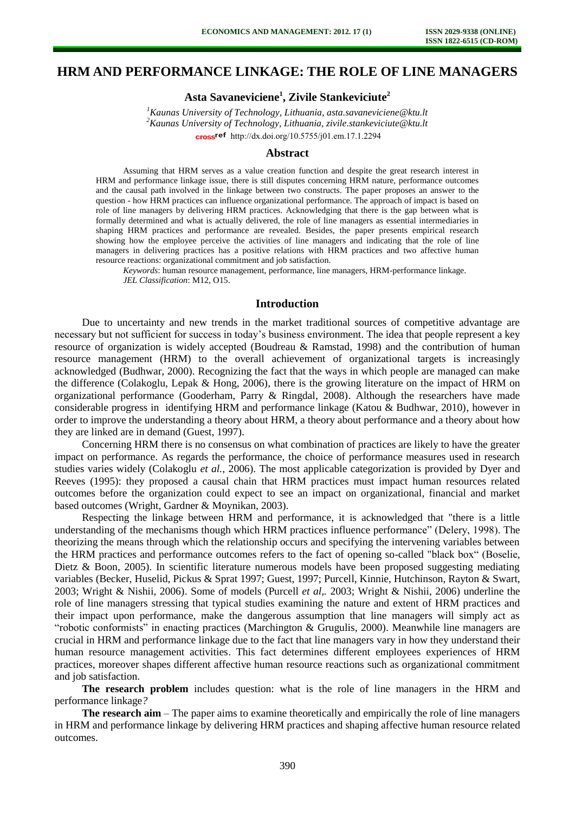# **HRM AND PERFORMANCE LINKAGE: THE ROLE OF LINE MANAGERS**

**Asta Savaneviciene<sup>1</sup> , Zivile Stankeviciute<sup>2</sup>**

*<sup>1</sup>Kaunas University of Technology, Lithuania, asta.savaneviciene@ktu.lt <sup>2</sup>Kaunas University of Technology, Lithuania, zivile.stankeviciute@ktu.lt*  [http://dx.doi.org/10.5755/j01.e](http://dx.doi.org/10.5755/j01.em.17.1.2294)m.17.1.2294

## **Abstract**

Assuming that HRM serves as a value creation function and despite the great research interest in HRM and performance linkage issue, there is still disputes concerning HRM nature, performance outcomes and the causal path involved in the linkage between two constructs. The paper proposes an answer to the question - how HRM practices can influence organizational performance. The approach of impact is based on role of line managers by delivering HRM practices. Acknowledging that there is the gap between what is formally determined and what is actually delivered, the role of line managers as essential intermediaries in shaping HRM practices and performance are revealed. Besides, the paper presents empirical research showing how the employee perceive the activities of line managers and indicating that the role of line managers in delivering practices has a positive relations with HRM practices and two affective human resource reactions: organizational commitment and job satisfaction.

*Keywords*: human resource management, performance, line managers, HRM-performance linkage. *JEL Classification*: M12, O15.

### **Introduction**

Due to uncertainty and new trends in the market traditional sources of competitive advantage are necessary but not sufficient for success in today's business environment. The idea that people represent a key resource of organization is widely accepted (Boudreau & Ramstad, 1998) and the contribution of human resource management (HRM) to the overall achievement of organizational targets is increasingly acknowledged (Budhwar, 2000). Recognizing the fact that the ways in which people are managed can make the difference (Colakoglu, Lepak & Hong, 2006), there is the growing literature on the impact of HRM on organizational performance (Gooderham, Parry & Ringdal, 2008). Although the researchers have made considerable progress in identifying HRM and performance linkage (Katou & Budhwar, 2010), however in order to improve the understanding a theory about HRM, a theory about performance and a theory about how they are linked are in demand (Guest, 1997).

Concerning HRM there is no consensus on what combination of practices are likely to have the greater impact on performance. As regards the performance, the choice of performance measures used in research studies varies widely (Colakoglu *et al.,* 2006). The most applicable categorization is provided by Dyer and Reeves (1995): they proposed a causal chain that HRM practices must impact human resources related outcomes before the organization could expect to see an impact on organizational, financial and market based outcomes (Wright, Gardner & Moynikan, 2003).

Respecting the linkage between HRM and performance, it is acknowledged that "there is a little understanding of the mechanisms though which HRM practices influence performance" (Delery, 1998). The theorizing the means through which the relationship occurs and specifying the intervening variables between the HRM practices and performance outcomes refers to the fact of opening so-called "black box" (Boselie, Dietz & Boon, 2005). In scientific literature numerous models have been proposed suggesting mediating variables (Becker, Huselid, Pickus & Sprat 1997; Guest, 1997; Purcell, Kinnie, Hutchinson, Rayton & Swart, 2003; Wright & Nishii, 2006). Some of models (Purcell *et al,.* 2003; Wright & Nishii, 2006) underline the role of line managers stressing that typical studies examining the nature and extent of HRM practices and their impact upon performance, make the dangerous assumption that line managers will simply act as "robotic conformists" in enacting practices (Marchington & Grugulis, 2000). Meanwhile line managers are crucial in HRM and performance linkage due to the fact that line managers vary in how they understand their human resource management activities. This fact determines different employees experiences of HRM practices, moreover shapes different affective human resource reactions such as organizational commitment and job satisfaction.

**The research problem** includes question: what is the role of line managers in the HRM and performance linkage*?*

**The research aim** – The paper aims to examine theoretically and empirically the role of line managers in HRM and performance linkage by delivering HRM practices and shaping affective human resource related outcomes.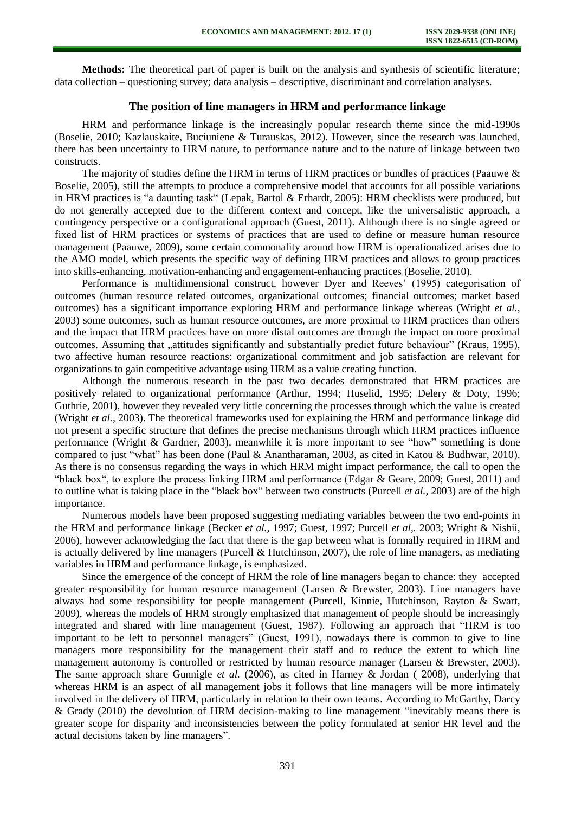**Methods:** The theoretical part of paper is built on the analysis and synthesis of scientific literature; data collection – questioning survey; data analysis – descriptive, discriminant and correlation analyses.

# **The position of line managers in HRM and performance linkage**

HRM and performance linkage is the increasingly popular research theme since the mid-1990s (Boselie, 2010; Kazlauskaite, Buciuniene & Turauskas, 2012). However, since the research was launched, there has been uncertainty to HRM nature, to performance nature and to the nature of linkage between two constructs.

The majority of studies define the HRM in terms of HRM practices or bundles of practices (Paauwe  $\&$ Boselie, 2005), still the attempts to produce a comprehensive model that accounts for all possible variations in HRM practices is "a daunting task" (Lepak, Bartol & Erhardt, 2005): HRM checklists were produced, but do not generally accepted due to the different context and concept, like the universalistic approach, a contingency perspective or a configurational approach (Guest, 2011). Although there is no single agreed or fixed list of HRM practices or systems of practices that are used to define or measure human resource management (Paauwe, 2009), some certain commonality around how HRM is operationalized arises due to the AMO model, which presents the specific way of defining HRM practices and allows to group practices into skills-enhancing, motivation-enhancing and engagement-enhancing practices (Boselie, 2010).

Performance is multidimensional construct, however Dyer and Reeves' (1995) categorisation of outcomes (human resource related outcomes, organizational outcomes; financial outcomes; market based outcomes) has a significant importance exploring HRM and performance linkage whereas (Wright *et al.*, 2003) some outcomes, such as human resource outcomes, are more proximal to HRM practices than others and the impact that HRM practices have on more distal outcomes are through the impact on more proximal outcomes. Assuming that "attitudes significantly and substantially predict future behaviour" (Kraus, 1995), two affective human resource reactions: organizational commitment and job satisfaction are relevant for organizations to gain competitive advantage using HRM as a value creating function.

Although the numerous research in the past two decades demonstrated that HRM practices are positively related to organizational performance (Arthur, 1994; Huselid, 1995; Delery & Doty, 1996; Guthrie, 2001), however they revealed very little concerning the processes through which the value is created (Wright *et al.,* 2003). The theoretical frameworks used for explaining the HRM and performance linkage did not present a specific structure that defines the precise mechanisms through which HRM practices influence performance (Wright & Gardner, 2003), meanwhile it is more important to see "how" something is done compared to just "what" has been done (Paul & Anantharaman, 2003, as cited in Katou & Budhwar, 2010). As there is no consensus regarding the ways in which HRM might impact performance, the call to open the "black box", to explore the process linking HRM and performance (Edgar & Geare, 2009; Guest, 2011) and to outline what is taking place in the "black box" between two constructs (Purcell *et al.,* 2003) are of the high importance.

Numerous models have been proposed suggesting mediating variables between the two end-points in the HRM and performance linkage (Becker *et al.,* 1997; Guest, 1997; Purcell *et al,.* 2003; Wright & Nishii, 2006), however acknowledging the fact that there is the gap between what is formally required in HRM and is actually delivered by line managers (Purcell & Hutchinson, 2007), the role of line managers, as mediating variables in HRM and performance linkage, is emphasized.

Since the emergence of the concept of HRM the role of line managers began to chance: they accepted greater responsibility for human resource management (Larsen & Brewster, 2003). Line managers have always had some responsibility for people management (Purcell, Kinnie, Hutchinson, Rayton & Swart, 2009), whereas the models of HRM strongly emphasized that management of people should be increasingly integrated and shared with line management (Guest, 1987). Following an approach that "HRM is too important to be left to personnel managers" (Guest, 1991), nowadays there is common to give to line managers more responsibility for the management their staff and to reduce the extent to which line management autonomy is controlled or restricted by human resource manager (Larsen & Brewster, 2003). The same approach share Gunnigle *et al.* (2006), as cited in Harney & Jordan ( 2008), underlying that whereas HRM is an aspect of all management jobs it follows that line managers will be more intimately involved in the delivery of HRM, particularly in relation to their own teams. According to McGarthy, Darcy & Grady (2010) the devolution of HRM decision-making to line management "inevitably means there is greater scope for disparity and inconsistencies between the policy formulated at senior HR level and the actual decisions taken by line managers".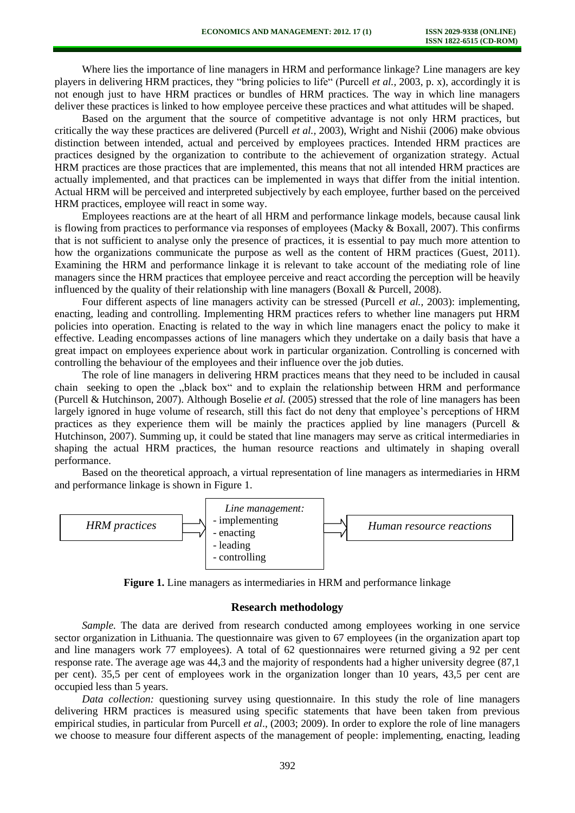Where lies the importance of line managers in HRM and performance linkage? Line managers are key players in delivering HRM practices, they "bring policies to life" (Purcell *et al.,* 2003, p. x), accordingly it is not enough just to have HRM practices or bundles of HRM practices. The way in which line managers deliver these practices is linked to how employee perceive these practices and what attitudes will be shaped.

Based on the argument that the source of competitive advantage is not only HRM practices, but critically the way these practices are delivered (Purcell *et al.,* 2003), Wright and Nishii (2006) make obvious distinction between intended, actual and perceived by employees practices. Intended HRM practices are practices designed by the organization to contribute to the achievement of organization strategy. Actual HRM practices are those practices that are implemented, this means that not all intended HRM practices are actually implemented, and that practices can be implemented in ways that differ from the initial intention. Actual HRM will be perceived and interpreted subjectively by each employee, further based on the perceived HRM practices, employee will react in some way.

Employees reactions are at the heart of all HRM and performance linkage models, because causal link is flowing from practices to performance via responses of employees (Macky & Boxall, 2007). This confirms that is not sufficient to analyse only the presence of practices, it is essential to pay much more attention to how the organizations communicate the purpose as well as the content of HRM practices (Guest, 2011). Examining the HRM and performance linkage it is relevant to take account of the mediating role of line managers since the HRM practices that employee perceive and react according the perception will be heavily influenced by the quality of their relationship with line managers (Boxall & Purcell, 2008).

Four different aspects of line managers activity can be stressed (Purcell *et al.,* 2003): implementing, enacting, leading and controlling. Implementing HRM practices refers to whether line managers put HRM policies into operation. Enacting is related to the way in which line managers enact the policy to make it effective. Leading encompasses actions of line managers which they undertake on a daily basis that have a great impact on employees experience about work in particular organization. Controlling is concerned with controlling the behaviour of the employees and their influence over the job duties.

The role of line managers in delivering HRM practices means that they need to be included in causal chain seeking to open the "black box" and to explain the relationship between HRM and performance (Purcell & Hutchinson, 2007). Although Boselie *et al.* (2005) stressed that the role of line managers has been largely ignored in huge volume of research, still this fact do not deny that employee's perceptions of HRM practices as they experience them will be mainly the practices applied by line managers (Purcell  $\&$ Hutchinson, 2007). Summing up, it could be stated that line managers may serve as critical intermediaries in shaping the actual HRM practices, the human resource reactions and ultimately in shaping overall performance.

Based on the theoretical approach, a virtual representation of line managers as intermediaries in HRM and performance linkage is shown in Figure 1.



**Figure 1.** Line managers as intermediaries in HRM and performance linkage

#### **Research methodology**

*Sample.* The data are derived from research conducted among employees working in one service sector organization in Lithuania. The questionnaire was given to 67 employees (in the organization apart top and line managers work 77 employees). A total of 62 questionnaires were returned giving a 92 per cent response rate. The average age was 44,3 and the majority of respondents had a higher university degree (87,1 per cent). 35,5 per cent of employees work in the organization longer than 10 years, 43,5 per cent are occupied less than 5 years.

*Data collection:* questioning survey using questionnaire. In this study the role of line managers delivering HRM practices is measured using specific statements that have been taken from previous empirical studies, in particular from Purcell *et al*., (2003; 2009). In order to explore the role of line managers we choose to measure four different aspects of the management of people: implementing, enacting, leading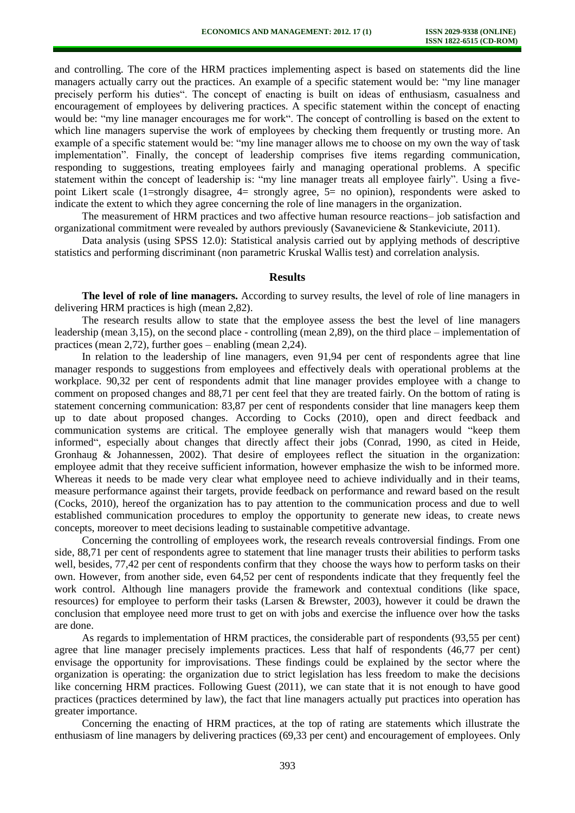and controlling. The core of the HRM practices implementing aspect is based on statements did the line managers actually carry out the practices. An example of a specific statement would be: "my line manager precisely perform his duties". The concept of enacting is built on ideas of enthusiasm, casualness and encouragement of employees by delivering practices. A specific statement within the concept of enacting would be: "my line manager encourages me for work". The concept of controlling is based on the extent to which line managers supervise the work of employees by checking them frequently or trusting more. An example of a specific statement would be: "my line manager allows me to choose on my own the way of task implementation". Finally, the concept of leadership comprises five items regarding communication, responding to suggestions, treating employees fairly and managing operational problems. A specific statement within the concept of leadership is: "my line manager treats all employee fairly". Using a fivepoint Likert scale (1=strongly disagree, 4= strongly agree, 5= no opinion), respondents were asked to indicate the extent to which they agree concerning the role of line managers in the organization.

The measurement of HRM practices and two affective human resource reactions– job satisfaction and organizational commitment were revealed by authors previously (Savaneviciene & Stankeviciute, 2011).

Data analysis (using SPSS 12.0): Statistical analysis carried out by applying methods of descriptive statistics and performing discriminant (non parametric Kruskal Wallis test) and correlation analysis.

# **Results**

**The level of role of line managers.** According to survey results, the level of role of line managers in delivering HRM practices is high (mean 2,82).

The research results allow to state that the employee assess the best the level of line managers leadership (mean 3,15), on the second place - controlling (mean 2,89), on the third place – implementation of practices (mean 2,72), further goes – enabling (mean 2,24).

In relation to the leadership of line managers, even 91,94 per cent of respondents agree that line manager responds to suggestions from employees and effectively deals with operational problems at the workplace. 90,32 per cent of respondents admit that line manager provides employee with a change to comment on proposed changes and 88,71 per cent feel that they are treated fairly. On the bottom of rating is statement concerning communication: 83,87 per cent of respondents consider that line managers keep them up to date about proposed changes. According to Cocks (2010), open and direct feedback and communication systems are critical. The employee generally wish that managers would "keep them informed", especially about changes that directly affect their jobs (Conrad, 1990, as cited in Heide, Gronhaug & Johannessen, 2002). That desire of employees reflect the situation in the organization: employee admit that they receive sufficient information, however emphasize the wish to be informed more. Whereas it needs to be made very clear what employee need to achieve individually and in their teams, measure performance against their targets, provide feedback on performance and reward based on the result (Cocks, 2010), hereof the organization has to pay attention to the communication process and due to well established communication procedures to employ the opportunity to generate new ideas, to create news concepts, moreover to meet decisions leading to sustainable competitive advantage.

Concerning the controlling of employees work, the research reveals controversial findings. From one side, 88,71 per cent of respondents agree to statement that line manager trusts their abilities to perform tasks well, besides, 77,42 per cent of respondents confirm that they choose the ways how to perform tasks on their own. However, from another side, even 64,52 per cent of respondents indicate that they frequently feel the work control. Although line managers provide the framework and contextual conditions (like space, resources) for employee to perform their tasks (Larsen & Brewster, 2003), however it could be drawn the conclusion that employee need more trust to get on with jobs and exercise the influence over how the tasks are done.

As regards to implementation of HRM practices, the considerable part of respondents (93,55 per cent) agree that line manager precisely implements practices. Less that half of respondents (46,77 per cent) envisage the opportunity for improvisations. These findings could be explained by the sector where the organization is operating: the organization due to strict legislation has less freedom to make the decisions like concerning HRM practices. Following Guest (2011), we can state that it is not enough to have good practices (practices determined by law), the fact that line managers actually put practices into operation has greater importance.

Concerning the enacting of HRM practices, at the top of rating are statements which illustrate the enthusiasm of line managers by delivering practices (69,33 per cent) and encouragement of employees. Only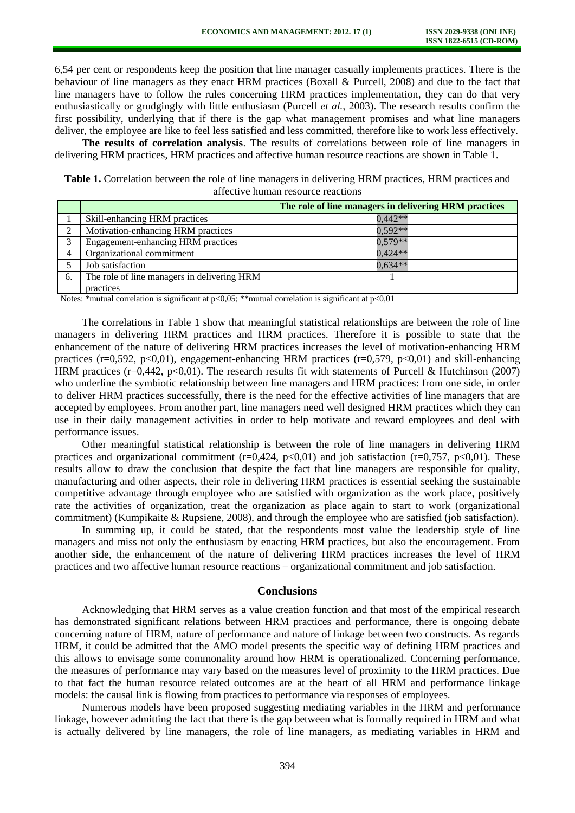6,54 per cent or respondents keep the position that line manager casually implements practices. There is the behaviour of line managers as they enact HRM practices (Boxall & Purcell, 2008) and due to the fact that line managers have to follow the rules concerning HRM practices implementation, they can do that very enthusiastically or grudgingly with little enthusiasm (Purcell *et al.,* 2003). The research results confirm the first possibility, underlying that if there is the gap what management promises and what line managers deliver, the employee are like to feel less satisfied and less committed, therefore like to work less effectively.

**The results of correlation analysis**. The results of correlations between role of line managers in delivering HRM practices, HRM practices and affective human resource reactions are shown in Table 1.

**Table 1.** Correlation between the role of line managers in delivering HRM practices, HRM practices and affective human resource reactions

|                |                                             | The role of line managers in delivering HRM practices |
|----------------|---------------------------------------------|-------------------------------------------------------|
|                | Skill-enhancing HRM practices               | $0.442**$                                             |
| ↑              | Motivation-enhancing HRM practices          | $0.592**$                                             |
| $\overline{a}$ | Engagement-enhancing HRM practices          | $0.579**$                                             |
|                | Organizational commitment                   | $0.424**$                                             |
|                | Job satisfaction                            | $0.634**$                                             |
| 6.             | The role of line managers in delivering HRM |                                                       |
|                | practices                                   |                                                       |

Notes: \*mutual correlation is significant at p<0,05; \*\*mutual correlation is significant at p<0,01

The correlations in Table 1 show that meaningful statistical relationships are between the role of line managers in delivering HRM practices and HRM practices. Therefore it is possible to state that the enhancement of the nature of delivering HRM practices increases the level of motivation-enhancing HRM practices ( $r=0.592$ ,  $p<0.01$ ), engagement-enhancing HRM practices ( $r=0.579$ ,  $p<0.01$ ) and skill-enhancing HRM practices (r=0,442, p<0,01). The research results fit with statements of Purcell & Hutchinson (2007) who underline the symbiotic relationship between line managers and HRM practices: from one side, in order to deliver HRM practices successfully, there is the need for the effective activities of line managers that are accepted by employees. From another part, line managers need well designed HRM practices which they can use in their daily management activities in order to help motivate and reward employees and deal with performance issues.

Other meaningful statistical relationship is between the role of line managers in delivering HRM practices and organizational commitment ( $r=0,424$ ,  $p<0,01$ ) and job satisfaction ( $r=0,757$ ,  $p<0,01$ ). These results allow to draw the conclusion that despite the fact that line managers are responsible for quality, manufacturing and other aspects, their role in delivering HRM practices is essential seeking the sustainable competitive advantage through employee who are satisfied with organization as the work place, positively rate the activities of organization, treat the organization as place again to start to work (organizational commitment) (Kumpikaite & Rupsiene, 2008), and through the employee who are satisfied (job satisfaction).

In summing up, it could be stated, that the respondents most value the leadership style of line managers and miss not only the enthusiasm by enacting HRM practices, but also the encouragement. From another side, the enhancement of the nature of delivering HRM practices increases the level of HRM practices and two affective human resource reactions – organizational commitment and job satisfaction.

### **Conclusions**

Acknowledging that HRM serves as a value creation function and that most of the empirical research has demonstrated significant relations between HRM practices and performance, there is ongoing debate concerning nature of HRM, nature of performance and nature of linkage between two constructs. As regards HRM, it could be admitted that the AMO model presents the specific way of defining HRM practices and this allows to envisage some commonality around how HRM is operationalized. Concerning performance, the measures of performance may vary based on the measures level of proximity to the HRM practices. Due to that fact the human resource related outcomes are at the heart of all HRM and performance linkage models: the causal link is flowing from practices to performance via responses of employees.

Numerous models have been proposed suggesting mediating variables in the HRM and performance linkage, however admitting the fact that there is the gap between what is formally required in HRM and what is actually delivered by line managers, the role of line managers, as mediating variables in HRM and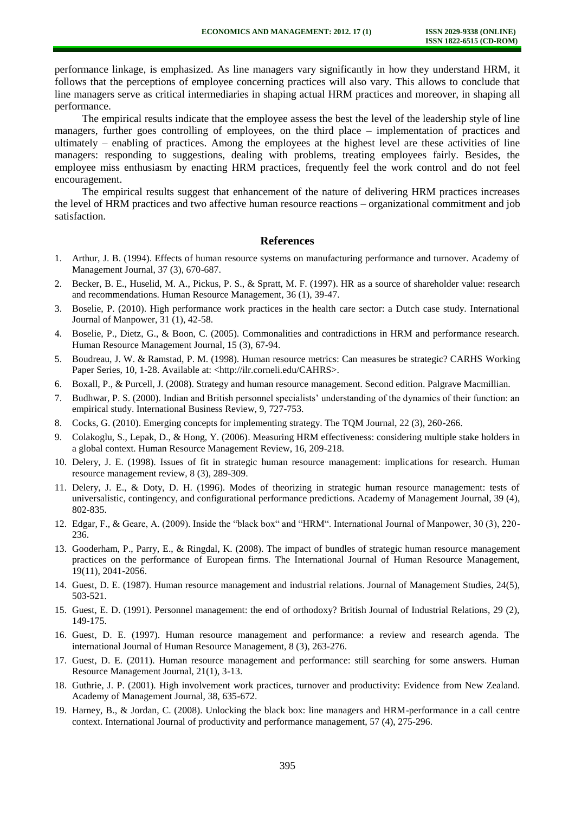performance linkage, is emphasized. As line managers vary significantly in how they understand HRM, it follows that the perceptions of employee concerning practices will also vary. This allows to conclude that line managers serve as critical intermediaries in shaping actual HRM practices and moreover, in shaping all performance.

The empirical results indicate that the employee assess the best the level of the leadership style of line managers, further goes controlling of employees, on the third place – implementation of practices and ultimately – enabling of practices. Among the employees at the highest level are these activities of line managers: responding to suggestions, dealing with problems, treating employees fairly. Besides, the employee miss enthusiasm by enacting HRM practices, frequently feel the work control and do not feel encouragement.

The empirical results suggest that enhancement of the nature of delivering HRM practices increases the level of HRM practices and two affective human resource reactions – organizational commitment and job satisfaction.

# **References**

- 1. Arthur, J. B. (1994). Effects of human resource systems on manufacturing performance and turnover. Academy of Management Journal, 37 (3), 670-687.
- 2. Becker, B. E., Huselid, M. A., Pickus, P. S., & Spratt, M. F. (1997). HR as a source of shareholder value: research and recommendations. Human Resource Management, 36 (1), 39-47.
- 3. Boselie, P. (2010). High performance work practices in the health care sector: a Dutch case study. International Journal of Manpower, 31 (1), 42-58.
- 4. Boselie, P., Dietz, G., & Boon, C. (2005). Commonalities and contradictions in HRM and performance research. Human Resource Management Journal, 15 (3), 67-94.
- 5. Boudreau, J. W. & Ramstad, P. M. (1998). Human resource metrics: Can measures be strategic? CARHS Working Paper Series, 10, 1-28. Available at: [<http://ilr.corneli.edu/CAHRS>](http://ilr.corneli.edu/CAHRS).
- 6. Boxall, P., & Purcell, J. (2008). Strategy and human resource management. Second edition. Palgrave Macmillian.
- 7. Budhwar, P. S. (2000). Indian and British personnel specialists' understanding of the dynamics of their function: an empirical study. International Business Review, 9, 727-753.
- 8. Cocks, G. (2010). Emerging concepts for implementing strategy. The TQM Journal, 22 (3), 260-266.
- 9. Colakoglu, S., Lepak, D., & Hong, Y. (2006). Measuring HRM effectiveness: considering multiple stake holders in a global context. Human Resource Management Review, 16, 209-218.
- 10. Delery, J. E. (1998). Issues of fit in strategic human resource management: implications for research. Human resource management review, 8 (3), 289-309.
- 11. Delery, J. E., & Doty, D. H. (1996). Modes of theorizing in strategic human resource management: tests of universalistic, contingency, and configurational performance predictions. Academy of Management Journal, 39 (4), 802-835.
- 12. Edgar, F., & Geare, A. (2009). Inside the "black box" and "HRM". International Journal of Manpower, 30 (3), 220- 236.
- 13. Gooderham, P., Parry, E., & Ringdal, K. (2008). The impact of bundles of strategic human resource management practices on the performance of European firms. The International Journal of Human Resource Management, 19(11), 2041-2056.
- 14. Guest, D. E. (1987). Human resource management and industrial relations. Journal of Management Studies, 24(5), 503-521.
- 15. Guest, E. D. (1991). Personnel management: the end of orthodoxy? British Journal of Industrial Relations, 29 (2), 149-175.
- 16. Guest, D. E. (1997). Human resource management and performance: a review and research agenda. The international Journal of Human Resource Management, 8 (3), 263-276.
- 17. Guest, D. E. (2011). Human resource management and performance: still searching for some answers. Human Resource Management Journal, 21(1), 3-13.
- 18. Guthrie, J. P. (2001). High involvement work practices, turnover and productivity: Evidence from New Zealand. Academy of Management Journal, 38, 635-672.
- 19. Harney, B., & Jordan, C. (2008). Unlocking the black box: line managers and HRM-performance in a call centre context. International Journal of productivity and performance management, 57 (4), 275-296.